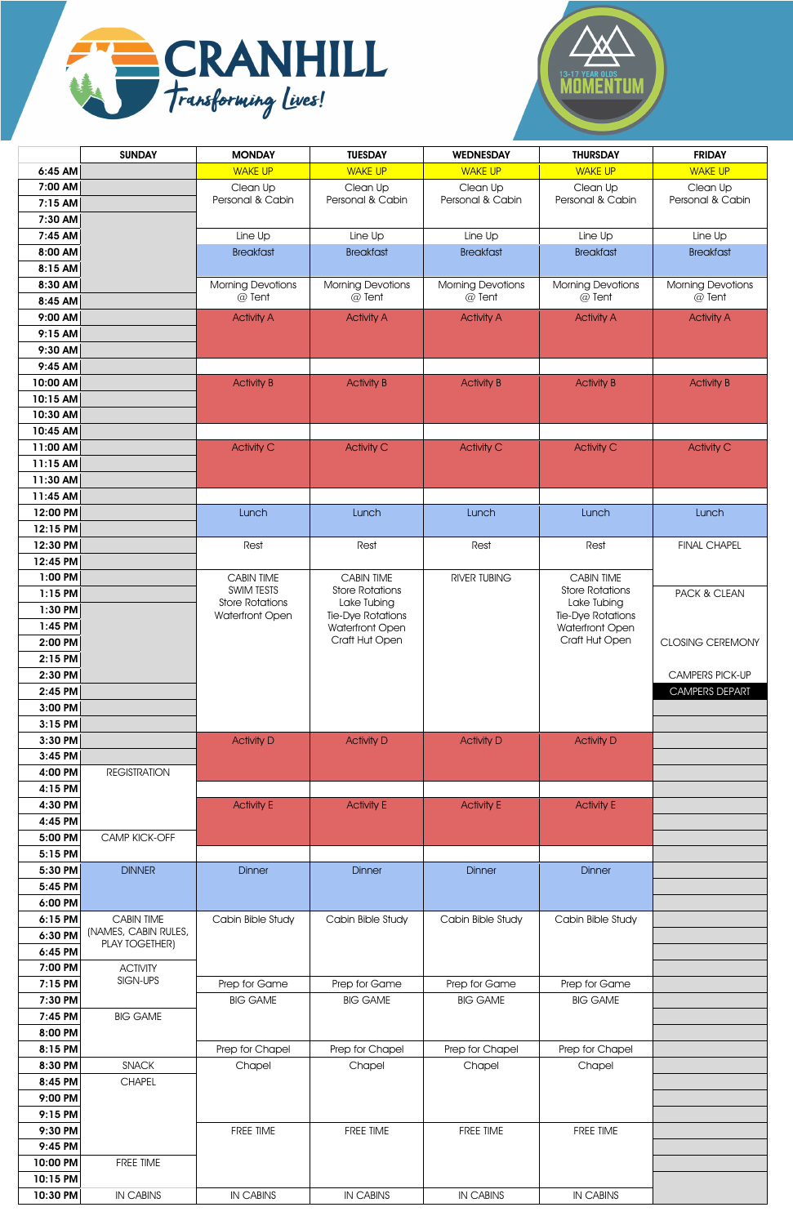



|                    | <b>SUNDAY</b>        | <b>MONDAY</b>                        | <b>TUESDAY</b>                     | <b>WEDNESDAY</b>                   | <b>THURSDAY</b>                    | <b>FRIDAY</b>                      |
|--------------------|----------------------|--------------------------------------|------------------------------------|------------------------------------|------------------------------------|------------------------------------|
| 6:45 AM            |                      | <b>WAKE UP</b>                       | <b>WAKE UP</b>                     | <b>WAKE UP</b>                     | <b>WAKE UP</b>                     | <b>WAKE UP</b>                     |
| 7:00 AM            |                      | Clean Up                             | Clean Up                           | Clean Up                           | Clean Up                           | Clean Up                           |
| 7:15 AM            |                      | Personal & Cabin                     | Personal & Cabin                   | Personal & Cabin                   | Personal & Cabin                   | Personal & Cabin                   |
| 7:30 AM            |                      |                                      |                                    |                                    |                                    |                                    |
| 7:45 AM            |                      | Line Up                              | Line Up                            | Line Up                            | Line Up                            | Line Up                            |
| 8:00 AM            |                      | <b>Breakfast</b>                     | <b>Breakfast</b>                   | <b>Breakfast</b>                   | <b>Breakfast</b>                   | <b>Breakfast</b>                   |
| 8:15 AM            |                      |                                      |                                    |                                    |                                    |                                    |
| 8:30 AM            |                      | <b>Morning Devotions</b><br>@ Tent   | <b>Morning Devotions</b><br>@ Tent | <b>Morning Devotions</b><br>@ Tent | <b>Morning Devotions</b><br>@ Tent | <b>Morning Devotions</b><br>@ Tent |
| 8:45 AM            |                      |                                      |                                    |                                    |                                    |                                    |
| 9:00 AM            |                      | <b>Activity A</b>                    | <b>Activity A</b>                  | <b>Activity A</b>                  | <b>Activity A</b>                  | <b>Activity A</b>                  |
| 9:15 AM            |                      |                                      |                                    |                                    |                                    |                                    |
| 9:30 AM<br>9:45 AM |                      |                                      |                                    |                                    |                                    |                                    |
| 10:00 AM           |                      | <b>Activity B</b>                    | <b>Activity B</b>                  | <b>Activity B</b>                  | <b>Activity B</b>                  | <b>Activity B</b>                  |
| 10:15 AM           |                      |                                      |                                    |                                    |                                    |                                    |
| 10:30 AM           |                      |                                      |                                    |                                    |                                    |                                    |
| 10:45 AM           |                      |                                      |                                    |                                    |                                    |                                    |
| 11:00 AM           |                      | <b>Activity C</b>                    | <b>Activity C</b>                  | <b>Activity C</b>                  | <b>Activity C</b>                  | <b>Activity C</b>                  |
| 11:15 AM           |                      |                                      |                                    |                                    |                                    |                                    |
| 11:30 AM           |                      |                                      |                                    |                                    |                                    |                                    |
| 11:45 AM           |                      |                                      |                                    |                                    |                                    |                                    |
| 12:00 PM           |                      | Lunch                                | Lunch                              | Lunch                              | Lunch                              | Lunch                              |
| 12:15 PM           |                      |                                      |                                    |                                    |                                    |                                    |
| 12:30 PM           |                      | Rest                                 | Rest                               | Rest                               | Rest                               | <b>FINAL CHAPEL</b>                |
| 12:45 PM           |                      |                                      |                                    |                                    |                                    |                                    |
| $1:00$ PM          |                      | CABIN TIME                           | CABIN TIME                         | <b>RIVER TUBING</b>                | <b>CABIN TIME</b>                  |                                    |
| $1:15$ PM          |                      | SWIM TESTS<br><b>Store Rotations</b> | <b>Store Rotations</b>             |                                    | <b>Store Rotations</b>             | PACK & CLEAN                       |
| 1:30 PM            |                      | Waterfront Open                      | Lake Tubing<br>Tie-Dye Rotations   |                                    | Lake Tubing<br>Tie-Dye Rotations   |                                    |
| $1:45$ PM          |                      |                                      | Waterfront Open                    |                                    | Waterfront Open                    |                                    |
| 2:00 PM            |                      |                                      | Craft Hut Open                     |                                    | Craft Hut Open                     | <b>CLOSING CEREMONY</b>            |
| $2:15$ PM          |                      |                                      |                                    |                                    |                                    |                                    |
| 2:30 PM            |                      |                                      |                                    |                                    |                                    | <b>CAMPERS PICK-UP</b>             |
| 2:45 PM            |                      |                                      |                                    |                                    |                                    | <b>CAMPERS DEPART</b>              |
| 3:00 PM            |                      |                                      |                                    |                                    |                                    |                                    |
| 3:15 PM            |                      |                                      |                                    |                                    |                                    |                                    |
| 3:30 PM            |                      | <b>Activity D</b>                    | <b>Activity D</b>                  | <b>Activity D</b>                  | <b>Activity D</b>                  |                                    |
| 3:45 PM<br>4:00 PM | <b>REGISTRATION</b>  |                                      |                                    |                                    |                                    |                                    |
| 4:15 PM            |                      |                                      |                                    |                                    |                                    |                                    |
| 4:30 PM            |                      | <b>Activity E</b>                    | <b>Activity E</b>                  | <b>Activity E</b>                  | <b>Activity E</b>                  |                                    |
| 4:45 PM            |                      |                                      |                                    |                                    |                                    |                                    |
| 5:00 PM            | CAMP KICK-OFF        |                                      |                                    |                                    |                                    |                                    |
| 5:15 PM            |                      |                                      |                                    |                                    |                                    |                                    |
| 5:30 PM            | <b>DINNER</b>        | Dinner                               | Dinner                             | <b>Dinner</b>                      | Dinner                             |                                    |
| 5:45 PM            |                      |                                      |                                    |                                    |                                    |                                    |
| 6:00 PM            |                      |                                      |                                    |                                    |                                    |                                    |
| 6:15 PM            | <b>CABIN TIME</b>    | Cabin Bible Study                    | Cabin Bible Study                  | Cabin Bible Study                  | Cabin Bible Study                  |                                    |
| 6:30 PM            | (NAMES, CABIN RULES, |                                      |                                    |                                    |                                    |                                    |
| 6:45 PM            | PLAY TOGETHER)       |                                      |                                    |                                    |                                    |                                    |
| 7:00 PM            | <b>ACTIVITY</b>      |                                      |                                    |                                    |                                    |                                    |
| 7:15 PM            | SIGN-UPS             | Prep for Game                        | Prep for Game                      | Prep for Game                      | Prep for Game                      |                                    |
| 7:30 PM            |                      | <b>BIG GAME</b>                      | <b>BIG GAME</b>                    | <b>BIG GAME</b>                    | <b>BIG GAME</b>                    |                                    |
| 7:45 PM            | <b>BIG GAME</b>      |                                      |                                    |                                    |                                    |                                    |
| 8:00 PM            |                      |                                      |                                    |                                    |                                    |                                    |
| $8:15$ PM          |                      | Prep for Chapel                      | Prep for Chapel                    | Prep for Chapel                    | Prep for Chapel                    |                                    |
| 8:30 PM            | <b>SNACK</b>         | Chapel                               | Chapel                             | Chapel                             | Chapel                             |                                    |
| 8:45 PM            | <b>CHAPEL</b>        |                                      |                                    |                                    |                                    |                                    |
| 9:00 PM            |                      |                                      |                                    |                                    |                                    |                                    |
| 9:15 PM            |                      |                                      |                                    |                                    |                                    |                                    |
| 9:30 PM<br>9:45 PM |                      | FREE TIME                            | FREE TIME                          | FREE TIME                          | FREE TIME                          |                                    |
| 10:00 PM           | FREE TIME            |                                      |                                    |                                    |                                    |                                    |
| 10:15 PM           |                      |                                      |                                    |                                    |                                    |                                    |
| $10:30$ PM         | <b>IN CABINS</b>     | <b>IN CABINS</b>                     | <b>IN CABINS</b>                   | <b>IN CABINS</b>                   | <b>IN CABINS</b>                   |                                    |
|                    |                      |                                      |                                    |                                    |                                    |                                    |